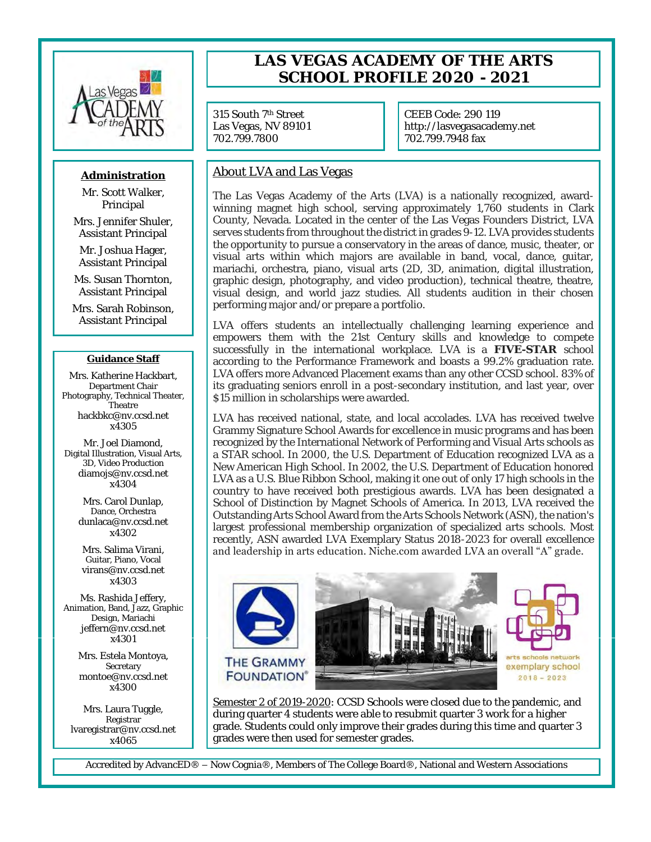

## **Administration**

Mr. Scott Walker, Principal

Mrs. Jennifer Shuler, Assistant Principal

Mr. Joshua Hager, Assistant Principal

Ms. Susan Thornton, Assistant Principal

Mrs. Sarah Robinson, Assistant Principal

### **Guidance Staff**

Mrs. Katherine Hackbart, Department Chair Photography, Technical Theater, **Theatre** hackbkc@nv.ccsd.net x4305

Mr. Joel Diamond, Digital Illustration, Visual Arts, 3D, Video Production diamojs@nv.ccsd.net x4304

> Mrs. Carol Dunlap, Dance, Orchestra dunlaca@nv.ccsd.net x4302

Mrs. Salima Virani, Guitar, Piano, Vocal virans@nv.ccsd.net x4303

Ms. Rashida Jeffery, Animation, Band, Jazz, Graphic Design, Mariachi jeffern@nv.ccsd.net x4301

> Mrs. Estela Montoya, Secretary montoe@nv.ccsd.net x4300

Mrs. Laura Tuggle, Registrar lvaregistrar@nv.ccsd.net x4065

# **LAS VEGAS ACADEMY OF THE ARTS SCHOOL PROFILE 2020 - 2021**

315 South 7th Street Las Vegas, NV 89101 702.799.7800

CEEB Code: 290 119 http://lasvegasacademy.net 702.799.7948 fax

## About LVA and Las Vegas

The Las Vegas Academy of the Arts (LVA) is a nationally recognized, awardwinning magnet high school, serving approximately 1,760 students in Clark County, Nevada. Located in the center of the Las Vegas Founders District, LVA serves students from throughout the district in grades 9-12. LVA provides students the opportunity to pursue a conservatory in the areas of dance, music, theater, or visual arts within which majors are available in band, vocal, dance, guitar, mariachi, orchestra, piano, visual arts (2D, 3D, animation, digital illustration, graphic design, photography, and video production), technical theatre, theatre, visual design, and world jazz studies. All students audition in their chosen performing major and/or prepare a portfolio.

LVA offers students an intellectually challenging learning experience and empowers them with the 21st Century skills and knowledge to compete successfully in the international workplace. LVA is a **FIVE-STAR** school according to the Performance Framework and boasts a 99.2% graduation rate. LVA offers more Advanced Placement exams than any other CCSD school. 83% of its graduating seniors enroll in a post-secondary institution, and last year, over \$15 million in scholarships were awarded.

LVA has received national, state, and local accolades. LVA has received twelve Grammy Signature School Awards for excellence in music programs and has been recognized by the International Network of Performing and Visual Arts schools as a STAR school. In 2000, the U.S. Department of Education recognized LVA as a New American High School. In 2002, the U.S. Department of Education honored LVA as a U.S. Blue Ribbon School, making it one out of only 17 high schools in the country to have received both prestigious awards. LVA has been designated a School of Distinction by Magnet Schools of America. In 2013, LVA received the Outstanding Arts School Award from the Arts Schools Network (ASN), the nation's largest professional membership organization of specialized arts schools. Most recently, ASN awarded LVA Exemplary Status 2018-2023 for overall excellence and leadership in arts education. Niche.com awarded LVA an overall "A" grade.



Semester 2 of 2019-2020: CCSD Schools were closed due to the pandemic, and during quarter 4 students were able to resubmit quarter 3 work for a higher grade. Students could only improve their grades during this time and quarter 3 grades were then used for semester grades.

Accredited by AdvancED® – Now Cognia®, Members of The College Board®, National and Western Associations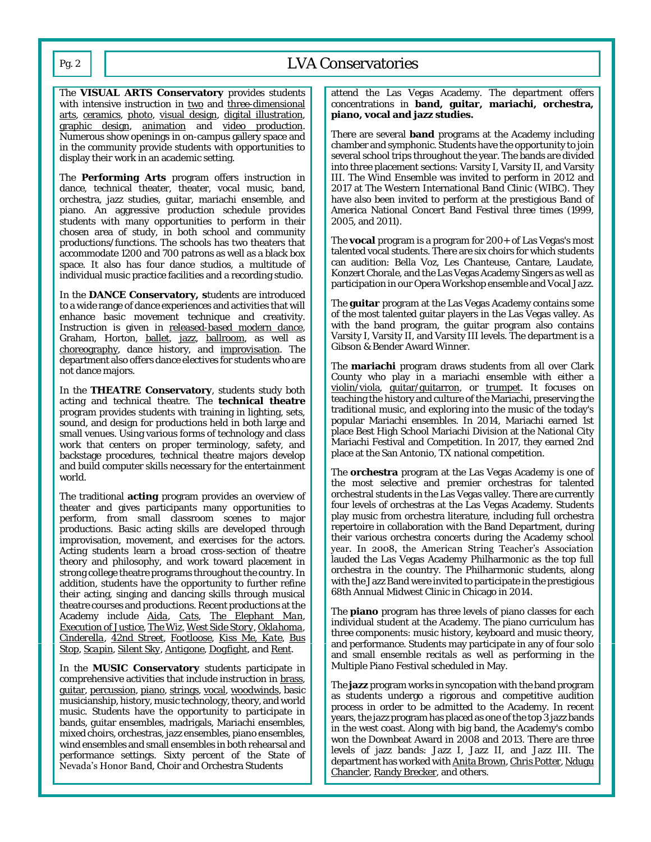# Pg. 2 | | LVA Conservatories

The **VISUAL ARTS Conservatory** provides students with intensive instruction in two and three-dimensional arts, ceramics, photo, visual design, digital illustration, graphic design, animation and video production. Numerous show openings in on-campus gallery space and in the community provide students with opportunities to display their work in an academic setting.

The **Performing Arts** program offers instruction in dance, technical theater, theater, vocal music, band, orchestra, jazz studies, guitar, mariachi ensemble, and piano. An aggressive production schedule provides students with many opportunities to perform in their chosen area of study, in both school and community productions/functions. The schools has two theaters that accommodate 1200 and 700 patrons as well as a black box space. It also has four dance studios, a multitude of individual music practice facilities and a recording studio.

In the **DANCE Conservatory, s**tudents are introduced to a wide range of dance experiences and activities that will enhance basic movement technique and creativity. Instruction is given in released-based modern dance, Graham, Horton, ballet, jazz, ballroom, as well as choreography, dance history, and improvisation. The department also offers dance electives for students who are not dance majors.

In the **THEATRE Conservatory**, students study both acting and technical theatre. The **technical theatre**  program provides students with training in lighting, sets, sound, and design for productions held in both large and small venues. Using various forms of technology and class work that centers on proper terminology, safety, and backstage procedures, technical theatre majors develop and build computer skills necessary for the entertainment world.

The traditional **acting** program provides an overview of theater and gives participants many opportunities to perform, from small classroom scenes to major productions. Basic acting skills are developed through improvisation, movement, and exercises for the actors. Acting students learn a broad cross-section of theatre theory and philosophy, and work toward placement in strong college theatre programs throughout the country. In addition, students have the opportunity to further refine their acting, singing and dancing skills through musical theatre courses and productions. Recent productions at the Academy include *Aida, Cats, The Elephant Man, Execution of Justice, The Wiz, West Side Story, Oklahoma, Cinderella, 42nd Street, Footloose, Kiss Me, Kate, Bus Stop, Scapin, Silent Sky, Antigone, Dogfight, and Rent.*

In the **MUSIC Conservatory** students participate in comprehensive activities that include instruction in brass, guitar, percussion, piano, strings, vocal, woodwinds, basic musicianship, history, music technology, theory, and world music. Students have the opportunity to participate in bands, guitar ensembles, madrigals, Mariachi ensembles, mixed choirs, orchestras, jazz ensembles, piano ensembles, wind ensembles and small ensembles in both rehearsal and performance settings. Sixty percent of the State of Nevada's Honor Band, Choir and Orchestra Students

attend the Las Vegas Academy. The department offers concentrations in **band, guitar, mariachi, orchestra, piano, vocal and jazz studies.**

There are several **band** programs at the Academy including chamber and symphonic. Students have the opportunity to join several school trips throughout the year. The bands are divided into three placement sections: Varsity I, Varsity II, and Varsity III. The Wind Ensemble was invited to perform in 2012 and 2017 at The Western International Band Clinic (WIBC). They have also been invited to perform at the prestigious Band of America National Concert Band Festival three times (1999, 2005, and 2011).

The **vocal** program is a program for 200+ of Las Vegas's most talented vocal students. There are six choirs for which students can audition: Bella Voz, Les Chanteuse, Cantare, Laudate, Konzert Chorale, and the Las Vegas Academy Singers as well as participation in our Opera Workshop ensemble and Vocal Jazz.

The **guitar** program at the Las Vegas Academy contains some of the most talented guitar players in the Las Vegas valley. As with the band program, the guitar program also contains Varsity I, Varsity II, and Varsity III levels. The department is a Gibson & Bender Award Winner.

The **mariachi** program draws students from all over Clark County who play in a mariachi ensemble with either a violin/viola, guitar/guitarron, or trumpet. It focuses on teaching the history and culture of the Mariachi, preserving the traditional music, and exploring into the music of the today's popular Mariachi ensembles. In 2014, Mariachi earned 1st place Best High School Mariachi Division at the National City Mariachi Festival and Competition. In 2017, they earned 2nd place at the San Antonio, TX national competition.

The **orchestra** program at the Las Vegas Academy is one of the most selective and premier orchestras for talented orchestral students in the Las Vegas valley. There are currently four levels of orchestras at the Las Vegas Academy. Students play music from orchestra literature, including full orchestra repertoire in collaboration with the Band Department, during their various orchestra concerts during the Academy school year. In 2008, the American String Teacher's Association lauded the Las Vegas Academy Philharmonic as the top full orchestra in the country. The Philharmonic students, along with the Jazz Band were invited to participate in the prestigious 68th Annual Midwest Clinic in Chicago in 2014.

The **piano** program has three levels of piano classes for each individual student at the Academy. The piano curriculum has three components: music history, keyboard and music theory, and performance. Students may participate in any of four solo and small ensemble recitals as well as performing in the Multiple Piano Festival scheduled in May.

The **jazz** program works in syncopation with the band program as students undergo a rigorous and competitive audition process in order to be admitted to the Academy. In recent years, the jazz program has placed as one of the top 3 jazz bands in the west coast. Along with big band, the Academy's combo won the Downbeat Award in 2008 and 2013. There are three levels of jazz bands: Jazz I, Jazz II, and Jazz III. The department has worked with Anita Brown, Chris Potter, Ndugu Chancler, Randy Brecker, and others.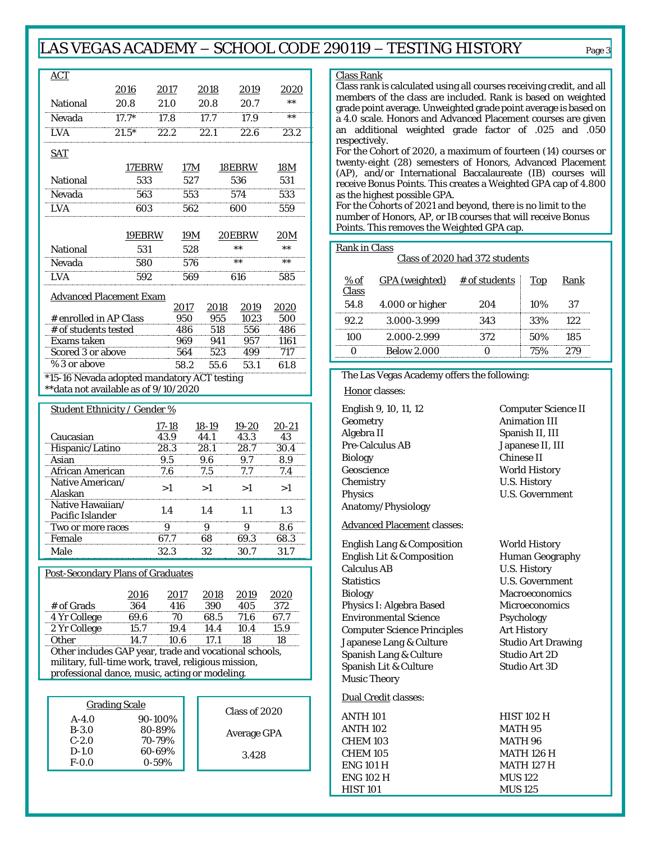# LAS VEGAS ACADEMY – SCHOOL CODE 290119 – TESTING HISTORY Page <sup>3</sup>

| <b>ACT</b>                                                                           |                      |                   |                      |                  |                      |                  |
|--------------------------------------------------------------------------------------|----------------------|-------------------|----------------------|------------------|----------------------|------------------|
|                                                                                      | 2016                 | 2017              |                      | 2018             | 2019                 | 2020             |
| National                                                                             | 20.8                 | 21.0              |                      | 20.8             | 20.7                 | $\star\star$     |
| Nevada                                                                               | $17.7*$              | 17.8              |                      | 17.7             | 17.9                 | ;;;;;;           |
| LVA                                                                                  | $21.5*$              | 22.2              |                      | $\frac{1}{22.1}$ | $\frac{22.6}{ }$     | $\frac{1}{23.2}$ |
| <b>SAT</b>                                                                           |                      |                   |                      |                  |                      |                  |
|                                                                                      | 17EBRW               |                   | 17 <sub>M</sub>      |                  | 18EBRW               | <u>18M</u>       |
| National                                                                             | 533                  |                   | 527                  |                  | 536                  | 531              |
| Nevada                                                                               | 563                  |                   | 553                  |                  | 574                  | 533              |
| LVA                                                                                  | 603                  |                   | 562                  |                  | 600                  | 559              |
|                                                                                      |                      |                   |                      |                  |                      |                  |
|                                                                                      | 19EBRW               |                   | <u>19M</u>           |                  | 20EBRW               | 20M              |
| National                                                                             | 531                  |                   | 528                  |                  | $\star\star$         | $\star\star$     |
| Nevada                                                                               | 580                  |                   | 576                  |                  |                      |                  |
| <b>LVA</b>                                                                           | 592                  |                   | 569                  |                  | 616                  | 585              |
| <b>Advanced Placement Exam</b>                                                       |                      |                   |                      |                  |                      |                  |
| # enrolled in AP Class                                                               |                      |                   | <u> 2017 </u><br>950 | 2018<br>955      | 2019<br>1023         | 2020<br>500      |
| # of students tested                                                                 |                      |                   | 486                  | 518              | 556                  | 486              |
| Exams taken                                                                          |                      |                   | 969                  | 941              | 957                  | 1161             |
| Scored 3 or above                                                                    |                      |                   | 564                  | 523              | 499                  | 717              |
| % 3 or above                                                                         |                      |                   | 58.2                 | 55.6             | 53.1                 | 61.8             |
| *15-16 Nevada adopted mandatory ACT testing<br>** data not available as of 9/10/2020 |                      |                   |                      |                  |                      |                  |
|                                                                                      |                      |                   |                      |                  |                      |                  |
| Student Ethnicity / Gender %                                                         |                      |                   |                      |                  |                      |                  |
| Caucasian                                                                            |                      | $17 - 18$<br>43.9 |                      | 18-19<br>44.1    | 19-20<br>43.3        | 20-21<br>43      |
| Hispanic/Latino                                                                      |                      | 28.3              |                      | 28.1             | 28.7                 | 30.4             |
| Asian                                                                                |                      | 9.5               |                      | 9.6              | 9.7                  | 8.9              |
|                                                                                      |                      |                   |                      |                  |                      | 7.4              |
| African American                                                                     |                      | 7.6               |                      | 7.5              | 7.7                  |                  |
| Native American/<br>Alaskan                                                          |                      | >1                |                      | >1               | >1                   | >1               |
| Native Hawaiian/                                                                     |                      | 1.4               |                      | 1.4              | 1.1                  | 1.3              |
| Pacific Islander                                                                     |                      |                   |                      |                  |                      |                  |
| Two or more races<br>Female                                                          |                      | 9<br>67.7         |                      | 9<br>68          | 9<br>69.3            | 8.6<br>68.3      |
| Male                                                                                 |                      | 32.3              |                      | 32               | 30.7                 | 31.7             |
|                                                                                      |                      |                   |                      |                  |                      |                  |
| Post-Secondary Plans of Graduates                                                    |                      |                   |                      |                  |                      |                  |
|                                                                                      | <u> 2016</u>         |                   | <u> 2017 </u>        | 2018             | 2019                 | 2020             |
| # of Grads                                                                           | 364                  |                   | 416                  | 390              | 405                  | 372              |
| 4 Yr College<br>2 Yr College                                                         | 69.6<br>15.7         |                   | 70<br>19.4           | 68.5<br>14.4     | 71.6<br>10.4         | 67.7<br>15.9     |
| Other                                                                                | 14.7                 |                   | 10.6                 | 17.1             | 18                   | 18               |
| Other includes GAP year, trade and vocational schools,                               |                      |                   |                      |                  |                      |                  |
| military, full-time work, travel, religious mission,                                 |                      |                   |                      |                  |                      |                  |
| professional dance, music, acting or modeling.                                       |                      |                   |                      |                  |                      |                  |
|                                                                                      |                      |                   |                      |                  |                      |                  |
|                                                                                      | <b>Grading Scale</b> |                   |                      |                  | Class of 2020        |                  |
| $A - 4.0$<br>$B-3.0$                                                                 |                      | 90-100%<br>80-89% |                      |                  |                      |                  |
| $C-2.0$<br>$D-1.0$                                                                   |                      | 70-79%<br>60-69%  |                      |                  | Average GPA<br>3.428 |                  |

#### ass Rank

ass rank is calculated using all courses receiving credit, and all members of the class are included. Rank is based on weighted ade point average. Unweighted grade point average is based on 4.0 scale. Honors and Advanced Placement courses are given additional weighted grade factor of .025 and .050 spectively.

or the Cohort of 2020, a maximum of fourteen (14) courses or enty-eight (28) semesters of Honors, Advanced Placement P), and/or International Baccalaureate (IB) courses will ceive Bonus Points. This creates a Weighted GPA cap of 4.800 the highest possible GPA.

or the Cohorts of 2021 and beyond, there is no limit to the mber of Honors, AP, or IB courses that will receive Bonus ints. This removes the Weighted GPA cap.

#### ank in Class

#### Class of 2020 had 372 students

|      | GPA (weighted)  | # of students |        |    |
|------|-----------------|---------------|--------|----|
| 54.8 | 4.000 or higher |               | $10\%$ |    |
|      | $3000 - 3999$   |               |        |    |
|      | 2.000-2.999     | スフク           | 50%    | ΧҺ |
|      | Jow 2.00        |               |        |    |

### The Las Vegas Academy offers the following:

Honor classes:

Geometry **Animation III** Algebra II Spanish II, III Pre-Calculus AB Japanese II, III Biology Chinese II Geoscience **World History** Chemistry U.S. History Physics U.S. Government Anatomy/Physiology

Advanced Placement classes:

English Lang & Composition World History Inglish Lit & Composition Human Geography Calculus AB Calculus AB U.S. History Statistics **U.S. Government** Biology Macroeconomics Physics I: Algebra Based Microeconomics Environmental Science Psychology Computer Science Principles Art History apanese Lang & Culture Studio Art Drawing Spanish Lang & Culture Studio Art 2D Spanish Lit & Culture Studio Art 3D Music Theory

#### Dual Credit classes:

| <b>NTH 101</b> |   |
|----------------|---|
| NTH 102        | Ν |
| <b>HFM 103</b> | Ν |
| <b>HEM 105</b> | Ν |
| NG 101 H       | Ν |
| NG 102 H       | Ν |
| IIST 101       |   |

English 9, 10, 11, 12 Computer Science II

**HIST 102 H MATH 95 MATH 96**  $MATH$  126 H **MATH 127 H MUS 122** AUS 125